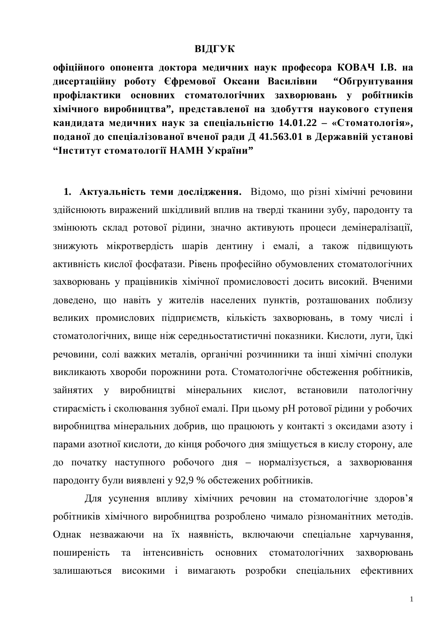#### **ВІДГУК**

**офіційного опонента доктора медичних наук професора КОВАЧ І.В. на** дисертаційну роботу Єфремової Оксани Василівни "Обгрунтування профілактики основних стоматологічних захворювань у робітників хімічного виробництва", представленої на здобуття наукового ступеня **ɤɚɧɞɢɞɚɬɚ ɦɟɞɢɱɧɢɯ ɧɚɭɤ ɡɚ ɫɩɟɰɿɚɥɶɧɿɫɬɸ 14.01.22 – «ɋɬɨɦɚɬɨɥɨɝɿɹ»,** поданої до спеціалізованої вченої ради Д 41.563.01 в Державній установі **³ȱɧɫɬɢɬɭɬɫɬɨɦɚɬɨɥɨɝɿʀɇȺɆɇɍɤɪɚʀɧɢ"**

1. Актуальність теми дослідження. Відомо, що різні хімічні речовини здійснюють виражений шкідливий вплив на тверді тканини зубу, пародонту та змінюють склад ротової рідини, значно активують процеси демінералізації, знижують мікротвердість шарів дентину і емалі, а також підвищують активність кислої фосфатази. Рівень професійно обумовлених стоматологічних захворювань у працівників хімічної промисловості досить високий. Вченими доведено, що навіть у жителів населених пунктів, розташованих поблизу великих промислових підприємств, кількість захворювань, в тому числі і стоматологічних, вище ніж середньостатистичні показники. Кислоти, луги, їдкі речовини, солі важких металів, органічні розчинники та інші хімічні сполуки викликають хвороби порожнини рота. Стоматологічне обстеження робітників, зайнятих у виробництві мінеральних кислот, встановили патологічну стираємість і сколювання зубної емалі. При цьому рН ротової рідини у робочих виробництва мінеральних добрив, що працюють у контакті з оксидами азоту і парами азотної кислоти, до кінця робочого дня зміщується в кислу сторону, але до початку наступного робочого дня – нормалізується, а захворювання пародонту були виявлені у 92,9 % обстежених робітників.

Для усунення впливу хімічних речовин на стоматологічне здоров'я робітників хімічного виробництва розроблено чимало різноманітних методів. Однак незважаючи на їх наявність, включаючи спеціальне харчування, поширеність та інтенсивність основних стоматологічних захворювань залишаються високими і вимагають розробки спеціальних ефективних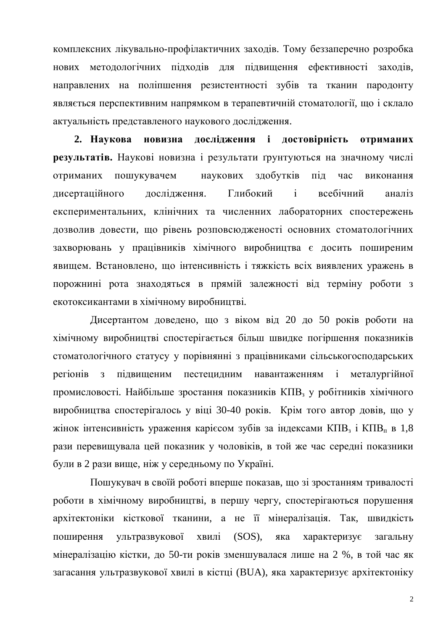комплексних лікувально-профілактичних заходів. Тому беззаперечно розробка нових метолологічних пілхолів лля пілвишення ефективності захолів. направлених на поліпшення резистентності зубів та тканин пародонту являється перспективним напрямком в терапевтичній стоматології, що і склало актуальність представленого наукового дослідження.

2. Наукова новизна дослідження і достовірність отриманих **результатів.** Наукові новизна і результати ґрунтуються на значному числі отриманих пошукувачем наукових здобутків під час виконання дисертаційного дослідження. Глибокий і всебічний аналіз експериментальних, клінічних та численних лабораторних спостережень дозволив довести, що рівень розповсюдженості основних стоматологічних захворювань у працівників хімічного виробництва є досить поширеним явищем. Встановлено, що інтенсивність і тяжкість всіх виявлених уражень в порожнині рота знаходяться в прямій залежності від терміну роботи з екотоксикантами в хімічному виробництві.

Дисертантом доведено, що з віком від 20 до 50 років роботи на хімічному виробництві спостерігається більш швидке погіршення показників стоматологічного статусу у порівнянні з працівниками сільськогосподарських регіонів з пілвишеним пестецилним навантаженням і металургійної промисловості. Найбільше зростання показників КПВ<sub>з</sub> у робітників хімічного виробництва спостерігалось у віці 30-40 років. Крім того автор довів, що у жінок інтенсивність ураження карієсом зубів за індексами КПВ<sub>з</sub> і КПВ<sub>п</sub> в 1,8 рази перевищувала цей показник у чоловіків, в той же час середні показники були в 2 рази вище, ніж у середньому по Україні.

Пошукувач в своїй роботі вперше показав, що зі зростанням тривалості роботи в хімічному виробництві, в першу чергу, спостерігаються порушення архітектоніки кісткової тканини, а не її мінералізація. Так, швидкість поширення ультразвукової хвилі (SOS), яка характеризує загальну мінералізацію кістки, до 50-ти років зменшувалася лише на 2 %, в той час як загасання ультразвукової хвилі в кістці (BUA), яка характеризує архітектоніку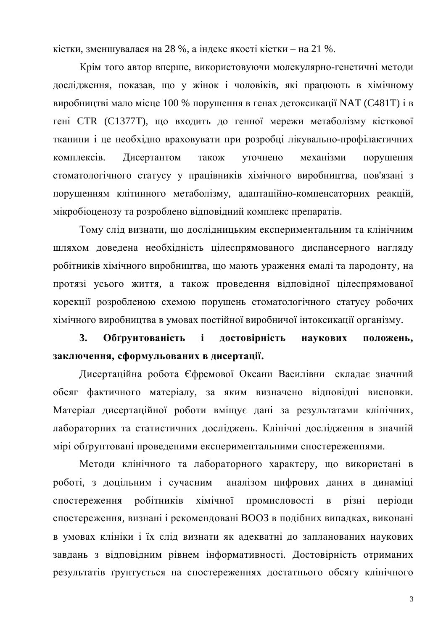кістки, зменшувалася на 28 %, а індекс якості кістки – на 21 %.

Крім того автор вперше, використовуючи молекулярно-генетичні методи дослідження, показав, що у жінок і чоловіків, які працюють в хімічному виробництві мало місце 100 % порушення в генах детоксикації NAT (C481T) і в гені СТR (С1377Т), що входить до генної мережи метаболізму кісткової тканини і це необхідно враховувати при розробці лікувально-профілактичних комплексів. Дисертантом також уточнено механізми порушення стоматологічного статусу у працівників хімічного виробництва, пов'язані з порушенням клітинного метаболізму, адаптаційно-компенсаторних реакцій, мікробіоценозу та розроблено відповідний комплекс препаратів.

Тому слід визнати, що дослідницьким експериментальним та клінічним шляхом доведена необхідність цілеспрямованого диспансерного нагляду робітників хімічного виробництва, що мають ураження емалі та пародонту, на протязі усього життя, а також проведення відповідної цілеспрямованої корекції розробленою схемою порушень стоматологічного статусу робочих хімічного виробництва в умовах постійної виробничої інтоксикації організму.

3. Обґрунтованість і достовірність наукових положень, заключення, сформульованих в дисертації.

Дисертаційна робота Єфремової Оксани Василівни складає значний обсяг фактичного матеріалу, за яким визначено відповідні висновки. Матеріал дисертаційної роботи вміщує дані за результатами клінічних, лабораторних та статистичних досліджень. Клінічні дослідження в значній мірі обґрунтовані проведеними експериментальними спостереженнями.

Методи клінічного та лабораторного характеру, що використані в роботі, з доцільним і сучасним аналізом цифрових даних в динаміці спостереження робітників хімічної промисловості в різні періоди спостереження, визнані і рекомендовані ВООЗ в подібних випадках, виконані в умовах клініки і їх слід визнати як адекватні до запланованих наукових завдань з відповідним рівнем інформативності. Достовірність отриманих результатів ґрунтується на спостереженнях достатнього обсягу клінічного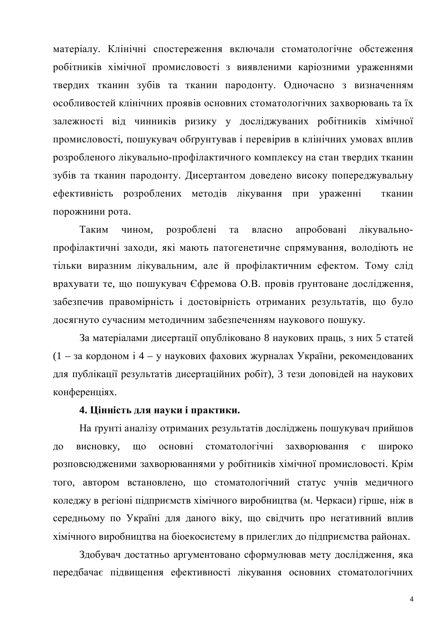матеріалу. Клінічні спостереження включали стоматологічне обстеження робітників хімічної промисловості з виявленими каріозними ураженнями твердих тканин зубів та тканин пародонту. Одночасно з визначенням особливостей клінічних проявів основних стоматологічних захворювань та їх залежності від чинників ризику у досліджуваних робітників хімічної промисловості, пошукувач обґрунтував і перевірив в клінічних умовах вплив розробленого лікувально-профілактичного комплексу на стан твердих тканин зубів та тканин пародонту. Дисертантом доведено високу попереджувальну ефективність розроблених методів лікування при ураженні тканин порожнини рота.

Таким чином, розроблені та власно апробовані лікувальнопрофілактичні заходи, які мають патогенетичне спрямування, володіють не тільки виразним лікувальним, але й профілактичним ефектом. Тому слід врахувати те, що пошукувач Єфремова О.В. провів ґрунтоване дослідження, забезпечив правомірність і достовірність отриманих результатів, що було досягнуто сучасним методичним забезпеченням наукового пошуку.

За матеріалами дисертації опубліковано 8 наукових праць, з них 5 статей  $(1 - 3a \text{ корм i } 4 - v \text{ havкових дахових жуоналах України, рекоменлованих$ для публікації результатів дисертаційних робіт), 3 тези доповідей на наукових конференціях.

#### 4. Цінність для науки і практики.

На грунті аналізу отриманих результатів досліджень пошукувач прийшов до висновку, що основні стоматологічні захворювання є широко розповсюдженими захворюваннями у робітників хімічної промисловості. Крім того, автором встановлено, що стоматологічний статус учнів медичного коледжу в регіоні підприємств хімічного виробництва (м. Черкаси) гірше, ніж в середньому по Україні для даного віку, що свідчить про негативний вплив хімічного виробництва на біоекосистему в прилеглих до підприємства районах.

Здобувач достатньо аргументовано сформулював мету дослідження, яка передбачає підвищення ефективності лікування основних стоматологічних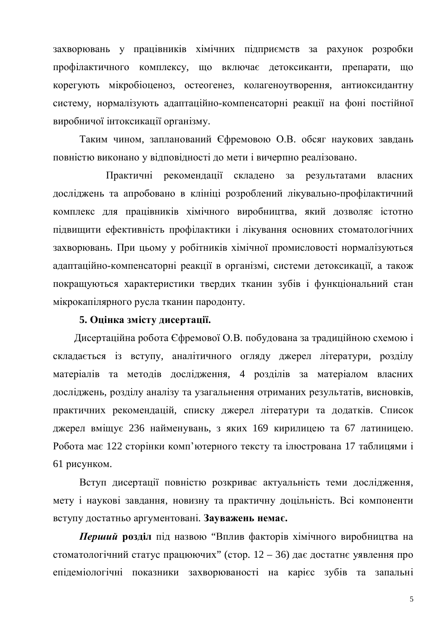захворювань у працівників хімічних підприємств за рахунок розробки профілактичного комплексу, що включає детоксиканти, препарати, що корегують мікробіоценоз, остеогенез, колагеноутворення, антиоксидантну систему, нормалізують адаптаційно-компенсаторні реакції на фоні постійної виробничої інтоксикації організму.

Таким чином, запланований Єфремовою О.В. обсяг наукових завдань повністю виконано у відповідності до мети і вичерпно реалізовано.

Практичні рекомендації складено за результатами власних досліджень та апробовано в клініці розроблений лікувально-профілактичний комплекс для працівників хімічного виробництва, який дозволяє істотно підвищити ефективність профілактики і лікування основних стоматологічних захворювань. При цьому у робітників хімічної промисловості нормалізуються адаптаційно-компенсаторні реакції в організмі, системи детоксикації, а також покращуються характеристики твердих тканин зубів і функціональний стан мікрокапілярного русла тканин пародонту.

### 5. Оцінка змісту дисертації.

Дисертаційна робота Єфремової О.В. побудована за традиційною схемою і складається із вступу, аналітичного огляду джерел літератури, розділу матеріалів та методів дослідження, 4 розділів за матеріалом власних досліджень, розділу аналізу та узагальнення отриманих результатів, висновків, практичних рекомендацій, списку джерел літератури та додатків. Список джерел вміщує 236 найменувань, з яких 169 кирилицею та 67 латиницею. Робота має 122 сторінки комп'ютерного тексту та ілюстрована 17 таблицями і 61 рисунком.

Вступ дисертації повністю розкриває актуальність теми дослідження, мету і наукові завдання, новизну та практичну доцільність. Всі компоненти вступу достатньо аргументовані. Зауважень немає.

**Перший розділ** під назвою "Вплив факторів хімічного виробництва на стоматологічний статус працюючих" (стор.  $12 - 36$ ) дає достатнє уявлення про епідеміологічні показники захворюваності на карієс зубів та запальні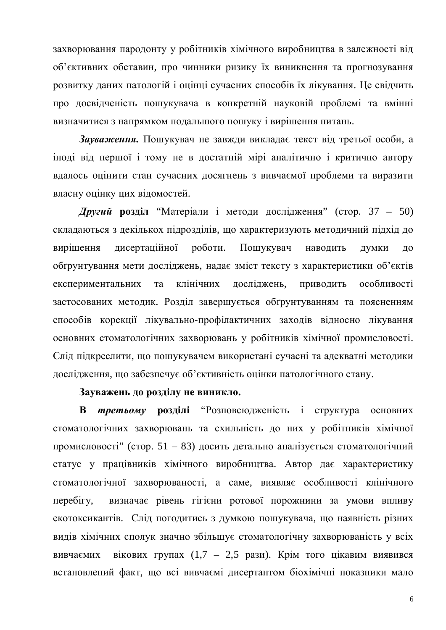захворювання пародонту у робітників хімічного виробництва в залежності від об'єктивних обставин, про чинники ризику їх виникнення та прогнозування розвитку даних патологій і оцінці сучасних способів їх лікування. Це свідчить про досвідченість пошукувача в конкретній науковій проблемі та вмінні визначитися з напрямком подальшого пошуку і вирішення питань.

Зауваження. Пошукувач не завжди викладає текст від третьої особи, а іноді від першої і тому не в достатній мірі аналітично і критично автору вдалось оцінити стан сучасних досягнень з вивчаємої проблеми та виразити власну оцінку цих відомостей.

**Другий розділ "Матеріали і методи дослідження" (стор. 37 – 50)** складаються з декількох підрозділів, що характеризують методичний підхід до вирішення дисертаційної роботи. Пошукувач наводить думки до обґрунтування мети досліджень, надає зміст тексту з характеристики об'єктів експериментальних та клінічних досліджень, приводить особливості застосованих методик. Розділ завершується обґрунтуванням та поясненням способів корекції лікувально-профілактичних заходів відносно лікування основних стоматологічних захворювань у робітників хімічної промисловості. Слід підкреслити, що пошукувачем використані сучасні та адекватні методики дослідження, що забезпечує об'єктивність оцінки патологічного стану.

# Зауважень до розділу не виникло.

**В третьому розділі** "Розповсюдженість і структура основних стоматологічних захворювань та схильність до них у робітників хімічної промисловості" (стор. 51 – 83) досить детально аналізується стоматологічний статус у працівників хімічного виробництва. Автор дає характеристику стоматологічної захворюваності, а саме, виявляє особливості клінічного перебігу, визначає рівень гігієни ротової порожнини за умови впливу екотоксикантів. Слід погодитись з думкою пошукувача, що наявність різних видів хімічних сполук значно збільшує стоматологічну захворюваність у всіх вивчаємих вікових групах (1,7 – 2,5 рази). Крім того цікавим виявився встановлений факт, що всі вивчаємі дисертантом біохімічні показники мало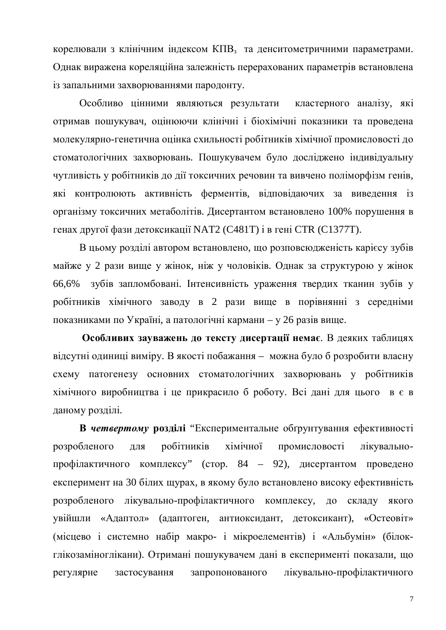корелювали з клінічним індексом КПВ<sub>з</sub> та денситометричними параметрами. Однак виражена кореляційна залежність перерахованих параметрів встановлена із запальними захворюваннями пародонту.

Особливо цінними являються результати кластерного аналізу, які отримав пошукувач, оцінюючи клінічні і біохімічні показники та проведена молекулярно-генетична оцінка схильності робітників хімічної промисловості до стоматологічних захворювань. Пошукувачем було досліджено індивідуальну чутливість у робітників до дії токсичних речовин та вивчено поліморфізм генів, які контролюють активність ферментів, відповідаючих за виведення із організму токсичних метаболітів. Дисертантом встановлено 100% порушення в генах другої фази детоксикації NAT2 (C481T) і в гені CTR (C1377T).

В цьому розділі автором встановлено, що розповсюдженість карієсу зубів майже у 2 рази вище у жінок, ніж у чоловіків. Однак за структурою у жінок 66,6% зубів запломбовані. Інтенсивність ураження твердих тканин зубів у робітників хімічного заводу в 2 рази вище в порівнянні з середніми показниками по Україні, а патологічні кармани – у 26 разів вище.

Особливих зауважень до тексту дисертації немає. В деяких таблицях відсутні одиниці виміру. В якості побажання – можна було б розробити власну схему патогенезу основних стоматологічних захворювань у робітників хімічного виробництва і це прикрасило б роботу. Всі дані для цього в є в даному розділі.

**В четвертому розділі "Експериментальне обґрунтування ефективності** розробленого для робітників хімічної промисловості лікувальнопрофілактичного комплексу" (стор. 84 – 92), дисертантом проведено експеримент на 30 білих щурах, в якому було встановлено високу ефективність розробленого лікувально-профілактичного комплексу, до складу якого увійшли «Адаптол» (адаптоген, антиоксидант, детоксикант), «Остеовіт» (місцево і системно набір макро- і мікроелементів) і «Альбумін» (білокглікозаміноглікани). Отримані пошукувачем дані в експерименті показали, що регулярне застосування запропонованого лікувально-профілактичного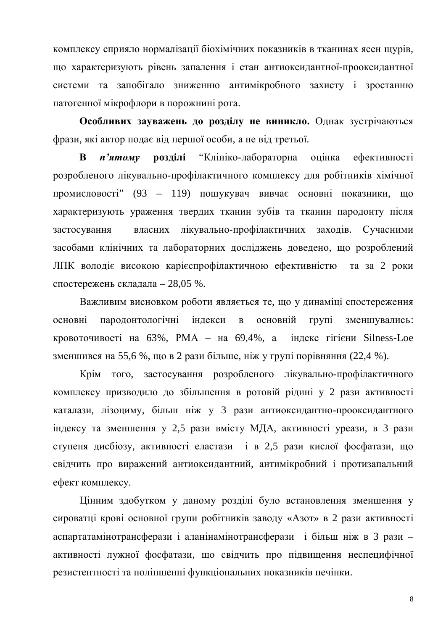комплексу сприяло нормалізації біохімічних показників в тканинах ясен щурів, що характеризують рівень запалення і стан антиоксидантної-прооксидантної системи та запобігало зниженню антимікробного захисту і зростанню патогенної мікрофлори в порожнині рота.

Особливих зауважень до розділу не виникло. Однак зустрічаються фрази, які автор подає від першої особи, а не від третьої.

**В** *п'ятому* розділі "Клініко-лабораторна оцінка ефективності розробленого лікувально-профілактичного комплексу для робітників хімічної промисловості" (93 – 119) пошукувач вивчає основні показники, що характеризують ураження твердих тканин зубів та тканин пародонту після застосування власних лікувально-профілактичних заходів. Сучасними засобами клінічних та лабораторних досліджень доведено, що розроблений ЛПК володіє високою карієспрофілактичною ефективністю та за 2 роки спостережень складала – 28,05 %.

Важливим висновком роботи являється те, що у динаміці спостереження основні пародонтологічні індекси в основній групі зменшувались: кровоточивості на  $63\%$ , РМА – на  $69,4\%$ , а індекс гігієни Silness-Loe зменшився на 55,6 %, що в 2 рази більше, ніж у групі порівняння (22,4 %).

Крім того, застосування розробленого лікувально-профілактичного комплексу призводило до збільшення в ротовій рідині у 2 рази активності каталази, лізоциму, більш ніж у 3 рази антиоксидантно-прооксидантного індексу та зменшення у 2,5 рази вмісту МДА, активності уреази, в 3 рази ступеня дисбіозу, активності еластази і в 2,5 рази кислої фосфатази, що свідчить про виражений антиоксидантний, антимікробний і протизапальний ефект комплексу.

Цінним здобутком у даному розділі було встановлення зменшення у сироватці крові основної групи робітників заводу «Азот» в 2 рази активності аспартатамінотрансферази і аланінамінотрансферази і більш ніж в 3 рази – активності лужної фосфатази, що свідчить про підвищення неспецифічної резистентності та поліпшенні функціональних показників печінки.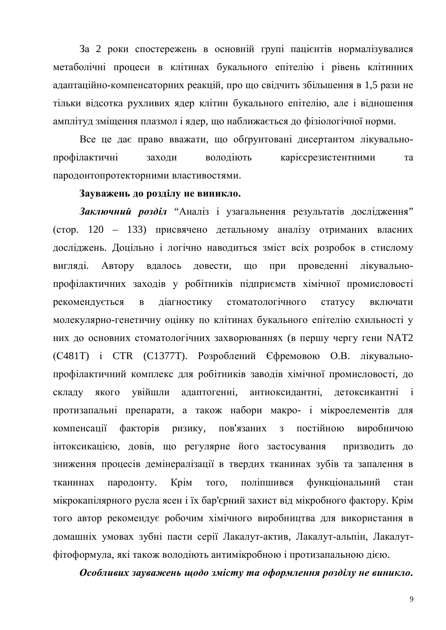За 2 роки спостережень в основній групі пацієнтів нормалізувалися метаболічні процеси в клітинах букального епітелію і рівень клітинних адаптаційно-компенсаторних реакцій, про що свідчить збільшення в 1,5 рази не тільки відсотка рухливих ядер клітин букального епітелію, але і відношення амплітуд зміщення плазмол і ядер, що наближається до фізіологічної норми.

Все це дає право вважати, що обґрунтовані дисертантом лікувальнопрофілактичні заходи володіють карієсрезистентними та пародонтопротекторними властивостями.

## Зауважень до розділу не виникло.

Заключний розділ "Аналіз і узагальнення результатів дослідження"  $($ стор. 120 – 133) присвячено детальному аналізу отриманих власних досліджень. Доцільно і логічно наводиться зміст всіх розробок в стислому вигляді. Автору вдалось довести, що при проведенні лікувальнопрофілактичних заходів у робітників підприємств хімічної промисловості рекомендується в діагностику стоматологічного статусу включати молекулярно-генетичну оцінку по клітинах букального епітелію схильності у них до основних стоматологічних захворюваннях (в першу чергу гени NAT2  $(C481T)$  і СТR  $(C1377T)$ . Розроблений Єфремовою О.В. лікувальнопрофілактичний комплекс для робітників заводів хімічної промисловості, до складу якого увійшли адаптогенні, антиоксидантні, детоксикантні і протизапальні препарати, а також набори макро- і мікроелементів для компенсації факторів ризику, пов'язаних з постійною виробничою інтоксикацією, довів, що регулярне його застосування призводить до зниження процесів демінералізації в твердих тканинах зубів та запалення в тканинах пародонту. Крім того, поліпшився функціональний стан мікрокапілярного русла ясен і їх бар'єрний захист від мікробного фактору. Крім того автор рекомендує робочим хімічного виробництва для використання в домашніх умовах зубні пасти серії Лакалут-актив, Лакалут-альпін, Лакалутфітоформула, які також володіють антимікробною і протизапальною дією.

Особливих зауважень щодо змісту та оформлення розділу не виникло.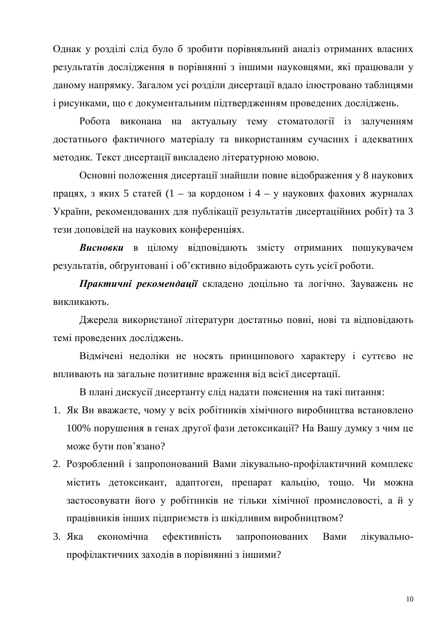Однак у розділі слід було б зробити порівняльний аналіз отриманих власних результатів дослідження в порівнянні з іншими науковцями, які працювали у даному напрямку. Загалом усі розділи дисертації вдало ілюстровано таблицями і рисунками, що є документальним підтвердженням проведених досліджень.

Робота виконана на актуальну тему стоматології із залученням достатнього фактичного матеріалу та використанням сучасних і адекватних методик. Текст дисертації викладено літературною мовою.

Основні положення дисертації знайшли повне відображення у 8 наукових працях, з яких 5 статей (1 – за кордоном  $i$  4 – у наукових фахових журналах України, рекомендованих для публікації результатів дисертаційних робіт) та 3 тези доповідей на наукових конференціях.

**Висновки** в цілому відповідають змісту отриманих пошукувачем результатів, обґрунтовані і об'єктивно відображають суть усієї роботи.

Практичні рекомендації складено доцільно та логічно. Зауважень не викликають.

Джерела використаної літератури достатньо повні, нові та відповідають темі проведених досліджень.

Відмічені недоліки не носять принципового характеру і суттєво не впливають на загальне позитивне враження від всієї дисертації.

В плані дискусії дисертанту слід надати пояснення на такі питання:

- 1. Як Ви вважаєте, чому у всіх робітників хімічного виробництва встановлено 100% порушення в генах другої фази детоксикації? На Вашу думку з чим це може бути пов'язано?
- 2. Розроблений і запропонований Вами лікувально-профілактичний комплекс містить детоксикант, адаптоген, препарат кальцію, тощо. Чи можна застосовувати його у робітників не тільки хімічної промисловості, а й у працівників інших підприємств із шкідливим виробництвом?
- 3. Яка економічна ефективність запропонованих Вами лікувальнопрофілактичних заходів в порівнянні з іншими?